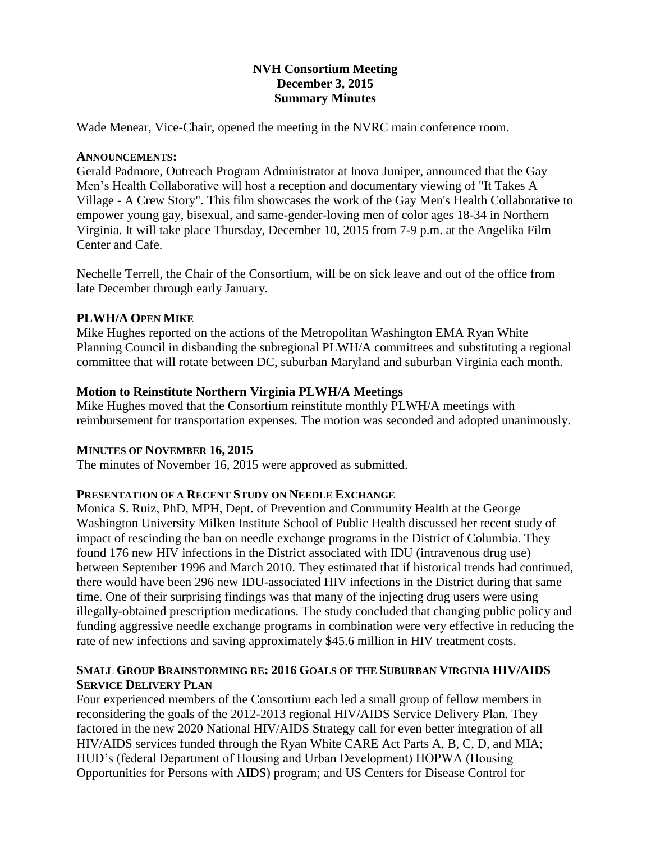# **NVH Consortium Meeting December 3, 2015 Summary Minutes**

Wade Menear, Vice-Chair, opened the meeting in the NVRC main conference room.

## **ANNOUNCEMENTS:**

Gerald Padmore, Outreach Program Administrator at Inova Juniper, announced that the Gay Men's Health Collaborative will host a reception and documentary viewing of "It Takes A Village - A Crew Story". This film showcases the work of the Gay Men's Health Collaborative to empower young gay, bisexual, and same-gender-loving men of color ages 18-34 in Northern Virginia. It will take place Thursday, December 10, 2015 from 7-9 p.m. at the Angelika Film Center and Cafe.

Nechelle Terrell, the Chair of the Consortium, will be on sick leave and out of the office from late December through early January.

## **PLWH/A OPEN MIKE**

Mike Hughes reported on the actions of the Metropolitan Washington EMA Ryan White Planning Council in disbanding the subregional PLWH/A committees and substituting a regional committee that will rotate between DC, suburban Maryland and suburban Virginia each month.

## **Motion to Reinstitute Northern Virginia PLWH/A Meetings**

Mike Hughes moved that the Consortium reinstitute monthly PLWH/A meetings with reimbursement for transportation expenses. The motion was seconded and adopted unanimously.

## **MINUTES OF NOVEMBER 16, 2015**

The minutes of November 16, 2015 were approved as submitted.

## **PRESENTATION OF A RECENT STUDY ON NEEDLE EXCHANGE**

Monica S. Ruiz, PhD, MPH, Dept. of Prevention and Community Health at the George Washington University Milken Institute School of Public Health discussed her recent study of impact of rescinding the ban on needle exchange programs in the District of Columbia. They found 176 new HIV infections in the District associated with IDU (intravenous drug use) between September 1996 and March 2010. They estimated that if historical trends had continued, there would have been 296 new IDU-associated HIV infections in the District during that same time. One of their surprising findings was that many of the injecting drug users were using illegally-obtained prescription medications. The study concluded that changing public policy and funding aggressive needle exchange programs in combination were very effective in reducing the rate of new infections and saving approximately \$45.6 million in HIV treatment costs.

## **SMALL GROUP BRAINSTORMING RE: 2016 GOALS OF THE SUBURBAN VIRGINIA HIV/AIDS SERVICE DELIVERY PLAN**

Four experienced members of the Consortium each led a small group of fellow members in reconsidering the goals of the 2012-2013 regional HIV/AIDS Service Delivery Plan. They factored in the new 2020 National HIV/AIDS Strategy call for even better integration of all HIV/AIDS services funded through the Ryan White CARE Act Parts A, B, C, D, and MIA; HUD's (federal Department of Housing and Urban Development) HOPWA (Housing Opportunities for Persons with AIDS) program; and US Centers for Disease Control for